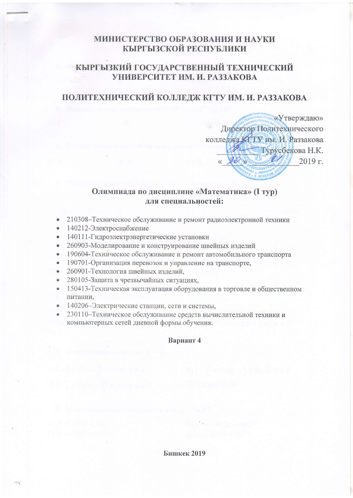## МИНИСТЕРСТВО ОБРАЗОВАНИЯ И НАУКИ КЫРГЫЗСКОЙ РЕСПУБЛИКИ

## КЫРГЫЗКИЙ ГОСУДАРСТВЕННЫЙ ТЕХНИЧЕСКИЙ УНИВЕРСИТЕТ ИМ. И. РАЗЗАКОВА

# ПОЛИТЕХНИЧЕСКИЙ КОЛЛЕДЖ КГТУ ИМ. И. РАЗЗАКОВА

«Утверждаю» Директор Политехнического колледжа КЕТУ им. И. Раззакова Турусбекова Н.К.  $\mathscr{D}$  $2019r$ 

### Олимпиада по дисциплине «Математика» (I тур) лля специальностей:

- 210308-Техническое обслуживание и ремонт радиоэлектронной техники  $\bullet$
- 140212-Электроснабжение
- 140111-Гидроэлектрэнергетические установки  $\bullet$
- 260903-Моделирование и конструирование швейных изделий  $\bullet$
- 190604-Техническое обслуживание и ремонт автомобильного транспорта  $\bullet$
- 190701-Организация перевозок и управление на транспорте,
- 260901-Технология швейных изделий,  $\bullet$
- 280105-Защита в чрезвычайных ситуациях,  $\bullet$
- 150413-Техническая эксплуатация оборудования в торговле и общественном
- питании.
- 140206-Электрические станции, сети и системы,
- 230110-Техническое обслуживание средств вычислительной техники и компьютерных сетей дневной формы обучения.

#### Вариант 4

**Бишкек 2019**